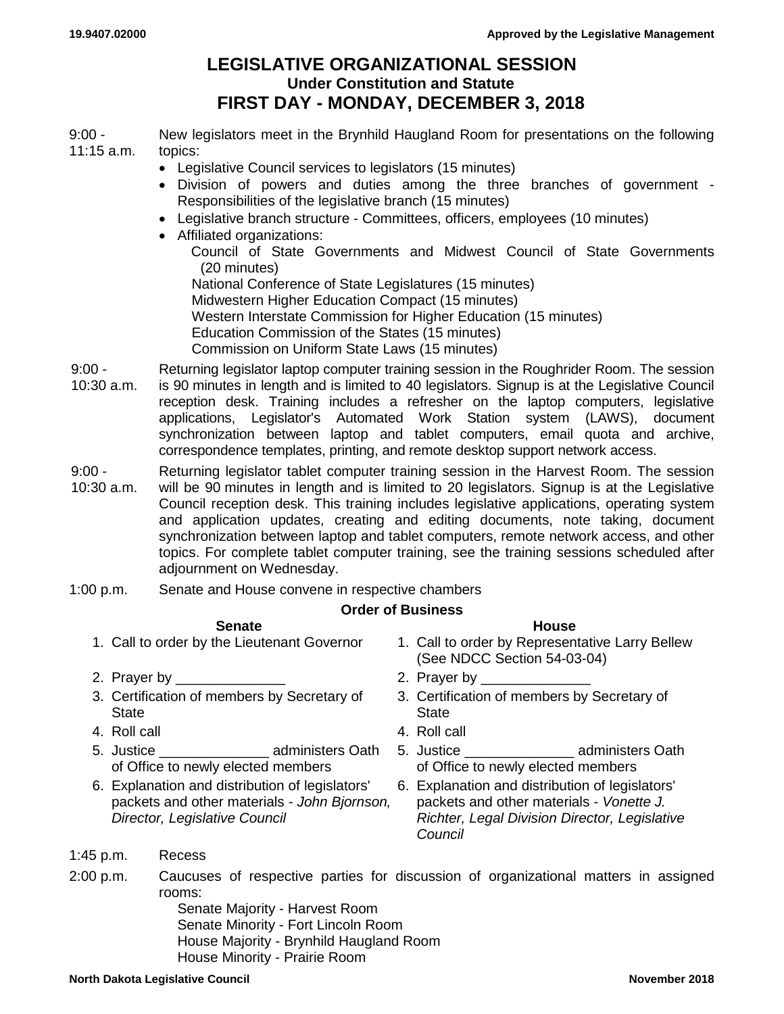## **LEGISLATIVE ORGANIZATIONAL SESSION Under Constitution and Statute FIRST DAY - MONDAY, DECEMBER 3, 2018**

9:00 - 11:15 a.m. New legislators meet in the Brynhild Haugland Room for presentations on the following topics:

- Legislative Council services to legislators (15 minutes)
- Division of powers and duties among the three branches of government Responsibilities of the legislative branch (15 minutes)
- Legislative branch structure Committees, officers, employees (10 minutes)
- Affiliated organizations:
	- Council of State Governments and Midwest Council of State Governments (20 minutes)
	- National Conference of State Legislatures (15 minutes) Midwestern Higher Education Compact (15 minutes) Western Interstate Commission for Higher Education (15 minutes) Education Commission of the States (15 minutes) Commission on Uniform State Laws (15 minutes)
- $9.00 -$ 10:30 a.m. Returning legislator laptop computer training session in the Roughrider Room. The session is 90 minutes in length and is limited to 40 legislators. Signup is at the Legislative Council reception desk. Training includes a refresher on the laptop computers, legislative applications, Legislator's Automated Work Station system (LAWS), document synchronization between laptop and tablet computers, email quota and archive, correspondence templates, printing, and remote desktop support network access.
- $9:00 -$ 10:30 a.m. Returning legislator tablet computer training session in the Harvest Room. The session will be 90 minutes in length and is limited to 20 legislators. Signup is at the Legislative Council reception desk. This training includes legislative applications, operating system and application updates, creating and editing documents, note taking, document synchronization between laptop and tablet computers, remote network access, and other topics. For complete tablet computer training, see the training sessions scheduled after adjournment on Wednesday.
- 1:00 p.m. Senate and House convene in respective chambers

## **Order of Business**

## **Senate House**

- 
- 2. Prayer by \_\_\_\_\_\_\_\_\_\_\_\_\_\_ 2. Prayer by \_\_\_\_\_\_\_\_\_\_\_\_\_\_
- 3. Certification of members by Secretary of **State**
- 
- 5. Justice **administers** Oath of Office to newly elected members
- 6. Explanation and distribution of legislators' packets and other materials - *John Bjornson, Director, Legislative Council*
- 1. Call to order by the Lieutenant Governor 1. Call to order by Representative Larry Bellew (See NDCC Section 54-03-04)
	-
	- 3. Certification of members by Secretary of **State**
- 4. Roll call 4. Roll call
	- 5. Justice **administers** Oath of Office to newly elected members
	- 6. Explanation and distribution of legislators' packets and other materials - *Vonette J. Richter, Legal Division Director, Legislative Council*

- 1:45 p.m. Recess
- 2:00 p.m. Caucuses of respective parties for discussion of organizational matters in assigned rooms:

Senate Majority - Harvest Room Senate Minority - Fort Lincoln Room House Majority - Brynhild Haugland Room House Minority - Prairie Room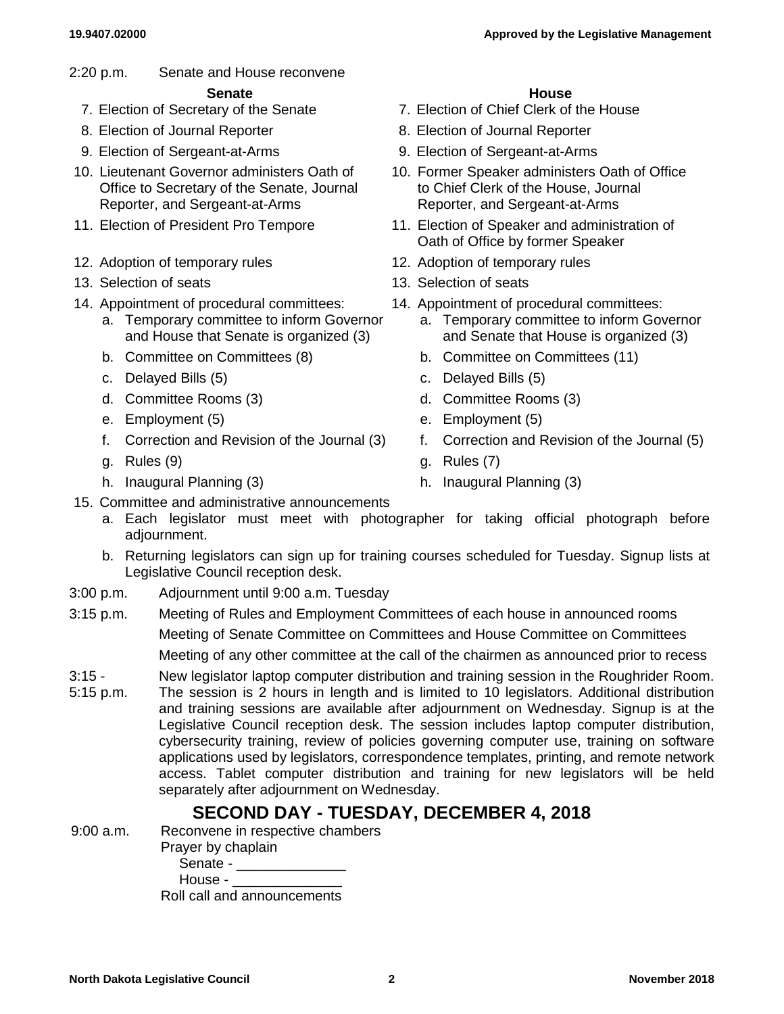2:20 p.m. Senate and House reconvene

## **Senate House**

- 
- 8. Election of Journal Reporter **8. Election of Journal Reporter**
- 
- 10. Lieutenant Governor administers Oath of Office to Secretary of the Senate, Journal Reporter, and Sergeant-at-Arms
- 
- 12. Adoption of temporary rules 12. Adoption of temporary rules
- 13. Selection of seats 13. Selection of seats
- 14. Appointment of procedural committees: 14. Appointment of procedural committees:
	- a. Temporary committee to inform Governor and House that Senate is organized (3)
	-
	-
	-
	-
	-
	-
	-

- 7. Election of Secretary of the Senate 7. Election of Chief Clerk of the House
	-
- 9. Election of Sergeant-at-Arms 9. Election of Sergeant-at-Arms
	- 10. Former Speaker administers Oath of Office to Chief Clerk of the House, Journal Reporter, and Sergeant-at-Arms
- 11. Election of President Pro Tempore 11. Election of Speaker and administration of Oath of Office by former Speaker
	-
	-
	- - a. Temporary committee to inform Governor and Senate that House is organized (3)
	- b. Committee on Committees (8) b. Committee on Committees (11)
	- c. Delayed Bills (5) c. Delayed Bills (5)
	- d. Committee Rooms (3) d. Committee Rooms (3)
	- e. Employment (5) e. Employment (5)
	- f. Correction and Revision of the Journal (3) f. Correction and Revision of the Journal (5)
	- g. Rules (9) g. Rules (7)
	- h. Inaugural Planning (3) h. Inaugural Planning (3)
- 15. Committee and administrative announcements
	- a. Each legislator must meet with photographer for taking official photograph before adjournment.
	- b. Returning legislators can sign up for training courses scheduled for Tuesday. Signup lists at Legislative Council reception desk.
- 3:00 p.m. Adjournment until 9:00 a.m. Tuesday
- 3:15 p.m. Meeting of Rules and Employment Committees of each house in announced rooms Meeting of Senate Committee on Committees and House Committee on Committees Meeting of any other committee at the call of the chairmen as announced prior to recess
- $3:15 -$ New legislator laptop computer distribution and training session in the Roughrider Room.
- 5:15 p.m. The session is 2 hours in length and is limited to 10 legislators. Additional distribution and training sessions are available after adjournment on Wednesday. Signup is at the Legislative Council reception desk. The session includes laptop computer distribution, cybersecurity training, review of policies governing computer use, training on software applications used by legislators, correspondence templates, printing, and remote network access. Tablet computer distribution and training for new legislators will be held separately after adjournment on Wednesday.

# **SECOND DAY - TUESDAY, DECEMBER 4, 2018**

9:00 a.m. Reconvene in respective chambers

- Prayer by chaplain
	- Senate \_\_\_\_\_\_\_\_\_
- House - $\_$ Roll call and announcements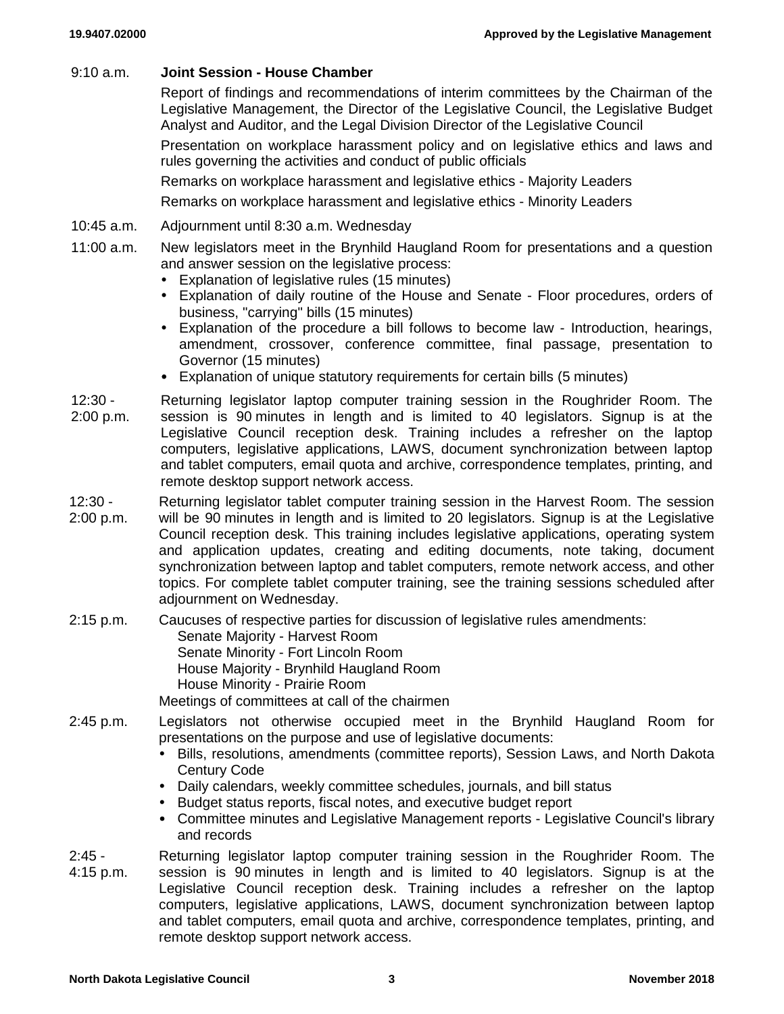### 9:10 a.m. **Joint Session - House Chamber**

Report of findings and recommendations of interim committees by the Chairman of the Legislative Management, the Director of the Legislative Council, the Legislative Budget Analyst and Auditor, and the Legal Division Director of the Legislative Council

Presentation on workplace harassment policy and on legislative ethics and laws and rules governing the activities and conduct of public officials

Remarks on workplace harassment and legislative ethics - Majority Leaders

Remarks on workplace harassment and legislative ethics - Minority Leaders

- 10:45 a.m. Adjournment until 8:30 a.m. Wednesday
- 11:00 a.m. New legislators meet in the Brynhild Haugland Room for presentations and a question and answer session on the legislative process:
	- Explanation of legislative rules (15 minutes)
	- Explanation of daily routine of the House and Senate Floor procedures, orders of business, "carrying" bills (15 minutes)
	- Explanation of the procedure a bill follows to become law Introduction, hearings, amendment, crossover, conference committee, final passage, presentation to Governor (15 minutes)
	- Explanation of unique statutory requirements for certain bills (5 minutes)
- 12:30 2:00 p.m. Returning legislator laptop computer training session in the Roughrider Room. The session is 90 minutes in length and is limited to 40 legislators. Signup is at the Legislative Council reception desk. Training includes a refresher on the laptop computers, legislative applications, LAWS, document synchronization between laptop and tablet computers, email quota and archive, correspondence templates, printing, and remote desktop support network access.
- 12:30 2:00 p.m. Returning legislator tablet computer training session in the Harvest Room. The session will be 90 minutes in length and is limited to 20 legislators. Signup is at the Legislative Council reception desk. This training includes legislative applications, operating system and application updates, creating and editing documents, note taking, document synchronization between laptop and tablet computers, remote network access, and other topics. For complete tablet computer training, see the training sessions scheduled after adjournment on Wednesday.
- 2:15 p.m. Caucuses of respective parties for discussion of legislative rules amendments: Senate Majority - Harvest Room Senate Minority - Fort Lincoln Room House Majority - Brynhild Haugland Room House Minority - Prairie Room

Meetings of committees at call of the chairmen

- 2:45 p.m. Legislators not otherwise occupied meet in the Brynhild Haugland Room for presentations on the purpose and use of legislative documents:
	- Bills, resolutions, amendments (committee reports), Session Laws, and North Dakota Century Code
	- Daily calendars, weekly committee schedules, journals, and bill status
	- Budget status reports, fiscal notes, and executive budget report
	- Committee minutes and Legislative Management reports Legislative Council's library and records
- $2.45 -$ 4:15 p.m. Returning legislator laptop computer training session in the Roughrider Room. The session is 90 minutes in length and is limited to 40 legislators. Signup is at the Legislative Council reception desk. Training includes a refresher on the laptop computers, legislative applications, LAWS, document synchronization between laptop and tablet computers, email quota and archive, correspondence templates, printing, and remote desktop support network access.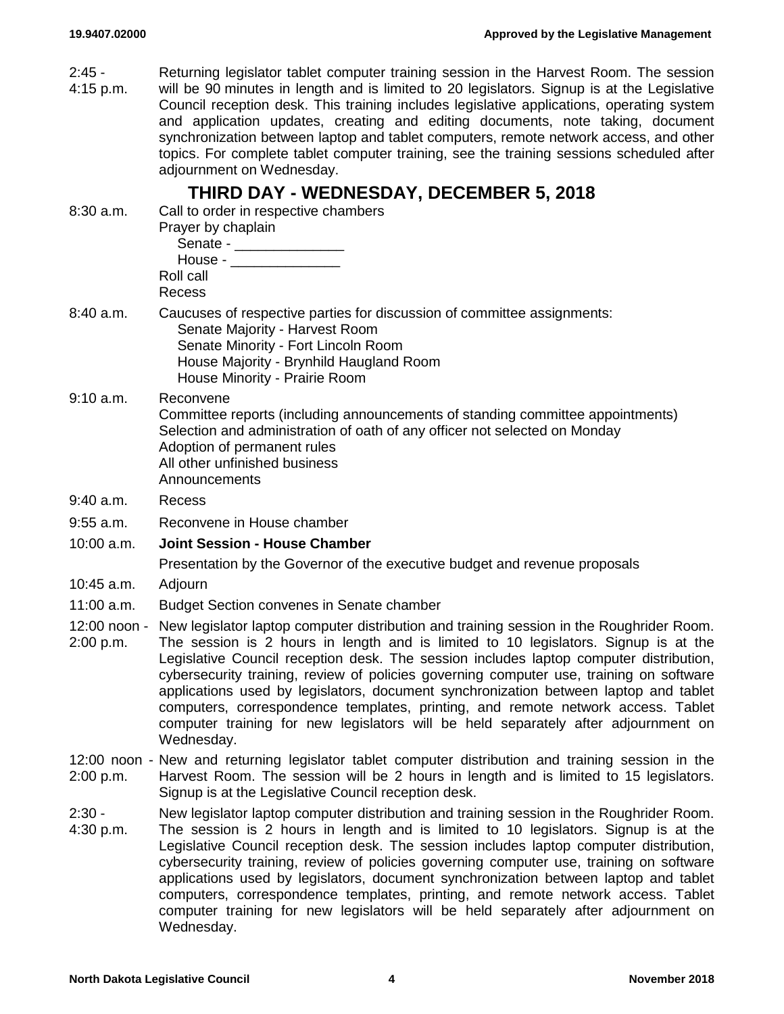| $2:45 -$<br>4:15 p.m. | Returning legislator tablet computer training session in the Harvest Room. The session<br>will be 90 minutes in length and is limited to 20 legislators. Signup is at the Legislative<br>Council reception desk. This training includes legislative applications, operating system<br>and application updates, creating and editing documents, note taking, document<br>synchronization between laptop and tablet computers, remote network access, and other<br>topics. For complete tablet computer training, see the training sessions scheduled after<br>adjournment on Wednesday.                                                                            |
|-----------------------|-------------------------------------------------------------------------------------------------------------------------------------------------------------------------------------------------------------------------------------------------------------------------------------------------------------------------------------------------------------------------------------------------------------------------------------------------------------------------------------------------------------------------------------------------------------------------------------------------------------------------------------------------------------------|
| $8:30$ a.m.           | THIRD DAY - WEDNESDAY, DECEMBER 5, 2018<br>Call to order in respective chambers<br>Prayer by chaplain<br>Senate - _______________<br>House - $\_\_$<br>Roll call<br>Recess                                                                                                                                                                                                                                                                                                                                                                                                                                                                                        |
| 8:40 a.m.             | Caucuses of respective parties for discussion of committee assignments:<br>Senate Majority - Harvest Room<br>Senate Minority - Fort Lincoln Room<br>House Majority - Brynhild Haugland Room<br>House Minority - Prairie Room                                                                                                                                                                                                                                                                                                                                                                                                                                      |
| 9:10 a.m.             | Reconvene<br>Committee reports (including announcements of standing committee appointments)<br>Selection and administration of oath of any officer not selected on Monday<br>Adoption of permanent rules<br>All other unfinished business<br>Announcements                                                                                                                                                                                                                                                                                                                                                                                                        |
| $9:40$ a.m.           | Recess                                                                                                                                                                                                                                                                                                                                                                                                                                                                                                                                                                                                                                                            |
| $9:55$ a.m.           | Reconvene in House chamber                                                                                                                                                                                                                                                                                                                                                                                                                                                                                                                                                                                                                                        |
| $10:00$ a.m.          | <b>Joint Session - House Chamber</b>                                                                                                                                                                                                                                                                                                                                                                                                                                                                                                                                                                                                                              |
|                       | Presentation by the Governor of the executive budget and revenue proposals                                                                                                                                                                                                                                                                                                                                                                                                                                                                                                                                                                                        |
| $10:45$ a.m.          | Adjourn                                                                                                                                                                                                                                                                                                                                                                                                                                                                                                                                                                                                                                                           |
| 11:00 a.m.            | <b>Budget Section convenes in Senate chamber</b>                                                                                                                                                                                                                                                                                                                                                                                                                                                                                                                                                                                                                  |
| 2:00 p.m.             | 12:00 noon - New legislator laptop computer distribution and training session in the Roughrider Room.<br>The session is 2 hours in length and is limited to 10 legislators. Signup is at the<br>Legislative Council reception desk. The session includes laptop computer distribution,<br>cybersecurity training, review of policies governing computer use, training on software<br>applications used by legislators, document synchronization between laptop and tablet<br>computers, correspondence templates, printing, and remote network access. Tablet<br>computer training for new legislators will be held separately after adjournment on<br>Wednesday. |
| 2:00 p.m.             | 12:00 noon - New and returning legislator tablet computer distribution and training session in the<br>Harvest Room. The session will be 2 hours in length and is limited to 15 legislators.<br>Signup is at the Legislative Council reception desk.                                                                                                                                                                                                                                                                                                                                                                                                               |
| $2:30 -$<br>4:30 p.m. | New legislator laptop computer distribution and training session in the Roughrider Room.<br>The session is 2 hours in length and is limited to 10 legislators. Signup is at the<br>Legislative Council reception desk. The session includes laptop computer distribution,<br>cybersecurity training, review of policies governing computer use, training on software<br>applications used by legislators, document synchronization between laptop and tablet<br>computers, correspondence templates, printing, and remote network access. Tablet<br>computer training for new legislators will be held separately after adjournment on<br>Wednesday.              |